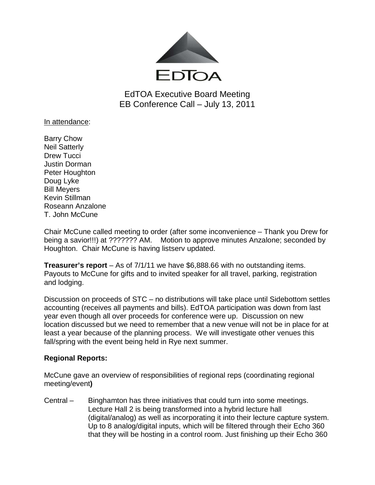

EdTOA Executive Board Meeting EB Conference Call – July 13, 2011

In attendance:

Barry Chow Neil Satterly Drew Tucci Justin Dorman Peter Houghton Doug Lyke Bill Meyers Kevin Stillman Roseann Anzalone T. John McCune

Chair McCune called meeting to order (after some inconvenience – Thank you Drew for being a savior!!!) at ??????? AM. Motion to approve minutes Anzalone; seconded by Houghton. Chair McCune is having listserv updated.

**Treasurer's report** – As of 7/1/11 we have \$6,888.66 with no outstanding items. Payouts to McCune for gifts and to invited speaker for all travel, parking, registration and lodging.

Discussion on proceeds of STC – no distributions will take place until Sidebottom settles accounting (receives all payments and bills). EdTOA participation was down from last year even though all over proceeds for conference were up. Discussion on new location discussed but we need to remember that a new venue will not be in place for at least a year because of the planning process. We will investigate other venues this fall/spring with the event being held in Rye next summer.

## **Regional Reports:**

McCune gave an overview of responsibilities of regional reps (coordinating regional meeting/event**)**

Central – Binghamton has three initiatives that could turn into some meetings. Lecture Hall 2 is being transformed into a hybrid lecture hall (digital/analog) as well as incorporating it into their lecture capture system. Up to 8 analog/digital inputs, which will be filtered through their Echo 360 that they will be hosting in a control room. Just finishing up their Echo 360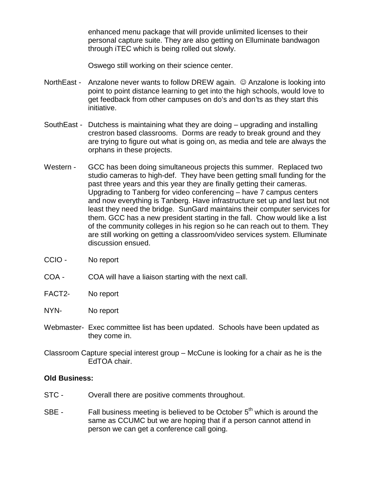enhanced menu package that will provide unlimited licenses to their personal capture suite. They are also getting on Elluminate bandwagon through iTEC which is being rolled out slowly.

Oswego still working on their science center.

- NorthEast Anzalone never wants to follow DREW again.  $\odot$  Anzalone is looking into point to point distance learning to get into the high schools, would love to get feedback from other campuses on do's and don'ts as they start this initiative.
- SouthEast Dutchess is maintaining what they are doing upgrading and installing crestron based classrooms. Dorms are ready to break ground and they are trying to figure out what is going on, as media and tele are always the orphans in these projects.
- Western GCC has been doing simultaneous projects this summer. Replaced two studio cameras to high-def. They have been getting small funding for the past three years and this year they are finally getting their cameras. Upgrading to Tanberg for video conferencing – have 7 campus centers and now everything is Tanberg. Have infrastructure set up and last but not least they need the bridge. SunGard maintains their computer services for them. GCC has a new president starting in the fall. Chow would like a list of the community colleges in his region so he can reach out to them. They are still working on getting a classroom/video services system. Elluminate discussion ensued.
- CCIO No report
- COA COA will have a liaison starting with the next call.
- FACT2- No report
- NYN- No report
- Webmaster- Exec committee list has been updated. Schools have been updated as they come in.
- Classroom Capture special interest group McCune is looking for a chair as he is the EdTOA chair.

## **Old Business:**

- STC Overall there are positive comments throughout.
- SBE Fall business meeting is believed to be October  $5<sup>th</sup>$  which is around the same as CCUMC but we are hoping that if a person cannot attend in person we can get a conference call going.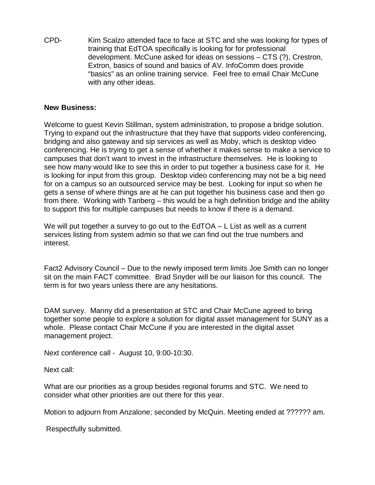CPD- Kim Scalzo attended face to face at STC and she was looking for types of training that EdTOA specifically is looking for for professional development. McCune asked for ideas on sessions – CTS (?), Crestron, Extron, basics of sound and basics of AV. InfoComm does provide "basics" as an online training service. Feel free to email Chair McCune with any other ideas.

## **New Business:**

Welcome to guest Kevin Stillman, system administration, to propose a bridge solution. Trying to expand out the infrastructure that they have that supports video conferencing, bridging and also gateway and sip services as well as Moby, which is desktop video conferencing. He is trying to get a sense of whether it makes sense to make a service to campuses that don't want to invest in the infrastructure themselves. He is looking to see how many would like to see this in order to put together a business case for it. He is looking for input from this group. Desktop video conferencing may not be a big need for on a campus so an outsourced service may be best. Looking for input so when he gets a sense of where things are at he can put together his business case and then go from there. Working with Tanberg – this would be a high definition bridge and the ability to support this for multiple campuses but needs to know if there is a demand.

We will put together a survey to go out to the  $EdTOA - L$  List as well as a current services listing from system admin so that we can find out the true numbers and interest.

Fact2 Advisory Council – Due to the newly imposed term limits Joe Smith can no longer sit on the main FACT committee. Brad Snyder will be our liaison for this council. The term is for two years unless there are any hesitations.

DAM survey. Manny did a presentation at STC and Chair McCune agreed to bring together some people to explore a solution for digital asset management for SUNY as a whole. Please contact Chair McCune if you are interested in the digital asset management project.

Next conference call - August 10, 9:00-10:30.

Next call:

What are our priorities as a group besides regional forums and STC. We need to consider what other priorities are out there for this year.

Motion to adjourn from Anzalone; seconded by McQuin. Meeting ended at ?????? am.

Respectfully submitted.